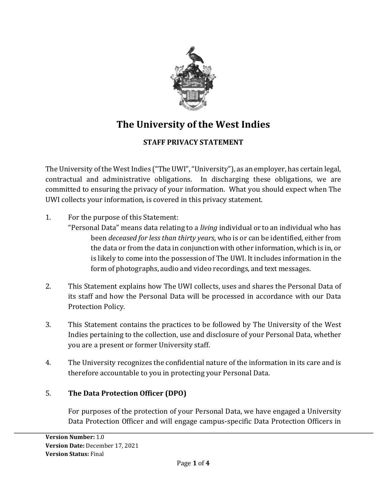

# **The University of the West Indies**

# **STAFF PRIVACY STATEMENT**

The University of the West Indies ("The UWI", "University"), as an employer, has certain legal, contractual and administrative obligations. In discharging these obligations, we are committed to ensuring the privacy of your information. What you should expect when The UWI collects your information, is covered in this privacy statement.

- 1. For the purpose of this Statement:
	- "Personal Data" means data relating to a *living* individual or to an individual who has been *deceased for less than thirty years*, who is or can be identified, either from the data or from the data in conjunction with other information, which is in, or is likely to come into the possession of The UWI. It includes information in the form of photographs, audio and video recordings, and text messages.
- 2. This Statement explains how The UWI collects, uses and shares the Personal Data of its staff and how the Personal Data will be processed in accordance with our [Data](https://www.qmul.ac.uk/privacy/media/arcs/policyzone/Data-Protection-Policy-v03.0.pdf)  [Protection Policy.](https://www.qmul.ac.uk/privacy/media/arcs/policyzone/Data-Protection-Policy-v03.0.pdf)
- 3. This Statement contains the practices to be followed by The University of the West Indies pertaining to the collection, use and disclosure of your Personal Data, whether you are a present or former University staff.
- 4. The University recognizes the confidential nature of the information in its care and is therefore accountable to you in protecting your Personal Data.

## 5. **The Data Protection Officer (DPO)**

For purposes of the protection of your Personal Data, we have engaged a University Data Protection Officer and will engage campus-specific Data Protection Officers in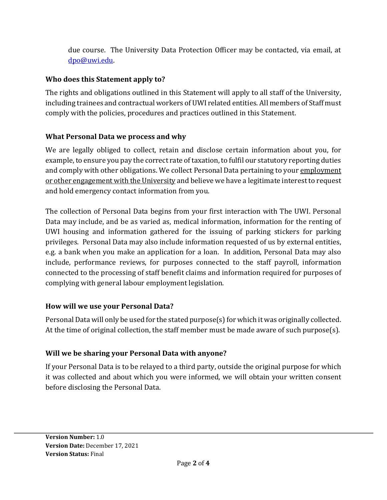due course. The University Data Protection Officer may be contacted, via email, at [dpo@uwi.edu.](mailto:dpo@uwi.edu)

## **Who does this Statement apply to?**

The rights and obligations outlined in this Statement will apply to all staff of the University, including trainees and contractual workers of UWI related entities. All members of Staff must comply with the policies, procedures and practices outlined in this Statement.

# **What Personal Data we process and why**

We are legally obliged to collect, retain and disclose certain information about you, for example, to ensure you pay the correct rate of taxation, to fulfil our statutory reporting duties and comply with other obligations. We collect Personal Data pertaining to your employment or other engagement with the University and believe we have a legitimate interest to request and hold emergency contact information from you.

The collection of Personal Data begins from your first interaction with The UWI. Personal Data may include, and be as varied as, medical information, information for the renting of UWI housing and information gathered for the issuing of parking stickers for parking privileges. Personal Data may also include information requested of us by external entities, e.g. a bank when you make an application for a loan. In addition, Personal Data may also include, performance reviews, for purposes connected to the staff payroll, information connected to the processing of staff benefit claims and information required for purposes of complying with general labour employment legislation.

# **How will we use your Personal Data?**

Personal Data will only be used for the stated purpose(s) for which it was originally collected. At the time of original collection, the staff member must be made aware of such purpose(s).

# **Will we be sharing your Personal Data with anyone?**

If your Personal Data is to be relayed to a third party, outside the original purpose for which it was collected and about which you were informed, we will obtain your written consent before disclosing the Personal Data.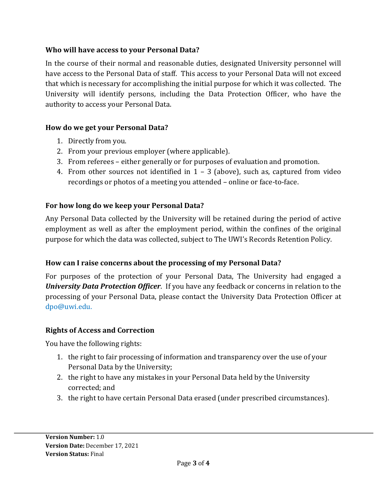#### **Who will have access to your Personal Data?**

In the course of their normal and reasonable duties, designated University personnel will have access to the Personal Data of staff. This access to your Personal Data will not exceed that which is necessary for accomplishing the initial purpose for which it was collected. The University will identify persons, including the Data Protection Officer, who have the authority to access your Personal Data.

#### **How do we get your Personal Data?**

- 1. Directly from you.
- 2. From your previous employer (where applicable).
- 3. From referees either generally or for purposes of evaluation and promotion.
- 4. From other sources not identified in 1 3 (above), such as, captured from video recordings or photos of a meeting you attended – online or face-to-face.

## **For how long do we keep your Personal Data?**

Any Personal Data collected by the University will be retained during the period of active employment as well as after the employment period, within the confines of the original purpose for which the data was collected, subject to The UWI's Records Retention Policy.

## **How can I raise concerns about the processing of my Personal Data?**

For purposes of the protection of your Personal Data, The University had engaged a *University Data Protection Officer*. If you have any feedback or concerns in relation to the processing of your Personal Data, please contact the University Data Protection Officer at dpo@uwi.edu.

## **Rights of Access and Correction**

You have the following rights:

- 1. the right to fair processing of information and transparency over the use of your Personal Data by the University;
- 2. the right to have any mistakes in your Personal Data held by the University corrected; and
- 3. the right to have certain Personal Data erased (under prescribed circumstances).